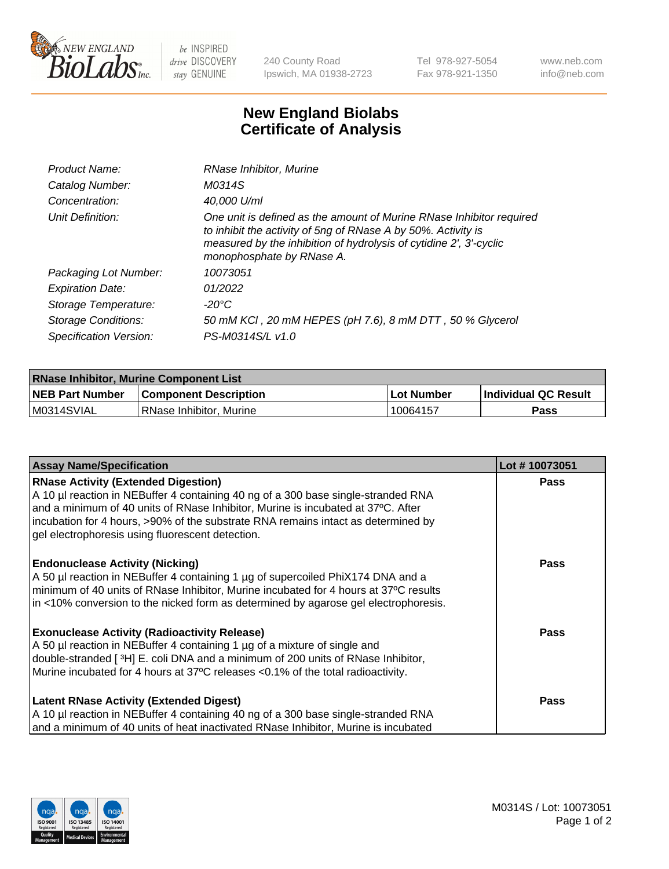

 $be$  INSPIRED drive DISCOVERY stay GENUINE

240 County Road Ipswich, MA 01938-2723 Tel 978-927-5054 Fax 978-921-1350 www.neb.com info@neb.com

## **New England Biolabs Certificate of Analysis**

| Product Name:              | RNase Inhibitor, Murine                                                                                                                                                                                                                  |
|----------------------------|------------------------------------------------------------------------------------------------------------------------------------------------------------------------------------------------------------------------------------------|
| Catalog Number:            | M0314S                                                                                                                                                                                                                                   |
| Concentration:             | 40,000 U/ml                                                                                                                                                                                                                              |
| Unit Definition:           | One unit is defined as the amount of Murine RNase Inhibitor required<br>to inhibit the activity of 5ng of RNase A by 50%. Activity is<br>measured by the inhibition of hydrolysis of cytidine 2', 3'-cyclic<br>monophosphate by RNase A. |
| Packaging Lot Number:      | 10073051                                                                                                                                                                                                                                 |
| <b>Expiration Date:</b>    | 01/2022                                                                                                                                                                                                                                  |
| Storage Temperature:       | -20°C                                                                                                                                                                                                                                    |
| <b>Storage Conditions:</b> | 50 mM KCl, 20 mM HEPES (pH 7.6), 8 mM DTT, 50 % Glycerol                                                                                                                                                                                 |
| Specification Version:     | PS-M0314S/L v1.0                                                                                                                                                                                                                         |

| <b>RNase Inhibitor, Murine Component List</b> |                              |              |                             |  |
|-----------------------------------------------|------------------------------|--------------|-----------------------------|--|
| <b>NEB Part Number</b>                        | <b>Component Description</b> | l Lot Number | <b>Individual QC Result</b> |  |
| M0314SVIAL                                    | l RNase Inhibitor. Murine    | 10064157     | Pass                        |  |

| <b>Assay Name/Specification</b>                                                                                                                                       | Lot #10073051 |
|-----------------------------------------------------------------------------------------------------------------------------------------------------------------------|---------------|
| <b>RNase Activity (Extended Digestion)</b>                                                                                                                            | <b>Pass</b>   |
| A 10 µl reaction in NEBuffer 4 containing 40 ng of a 300 base single-stranded RNA<br>and a minimum of 40 units of RNase Inhibitor, Murine is incubated at 37°C. After |               |
| incubation for 4 hours, >90% of the substrate RNA remains intact as determined by                                                                                     |               |
| gel electrophoresis using fluorescent detection.                                                                                                                      |               |
| <b>Endonuclease Activity (Nicking)</b>                                                                                                                                | Pass          |
| A 50 µl reaction in NEBuffer 4 containing 1 µg of supercoiled PhiX174 DNA and a                                                                                       |               |
| minimum of 40 units of RNase Inhibitor, Murine incubated for 4 hours at 37°C results                                                                                  |               |
| in <10% conversion to the nicked form as determined by agarose gel electrophoresis.                                                                                   |               |
| <b>Exonuclease Activity (Radioactivity Release)</b>                                                                                                                   | <b>Pass</b>   |
| A 50 µl reaction in NEBuffer 4 containing 1 µg of a mixture of single and                                                                                             |               |
| double-stranded [3H] E. coli DNA and a minimum of 200 units of RNase Inhibitor,                                                                                       |               |
| Murine incubated for 4 hours at 37°C releases <0.1% of the total radioactivity.                                                                                       |               |
| <b>Latent RNase Activity (Extended Digest)</b>                                                                                                                        | <b>Pass</b>   |
| A 10 µl reaction in NEBuffer 4 containing 40 ng of a 300 base single-stranded RNA                                                                                     |               |
| and a minimum of 40 units of heat inactivated RNase Inhibitor, Murine is incubated                                                                                    |               |